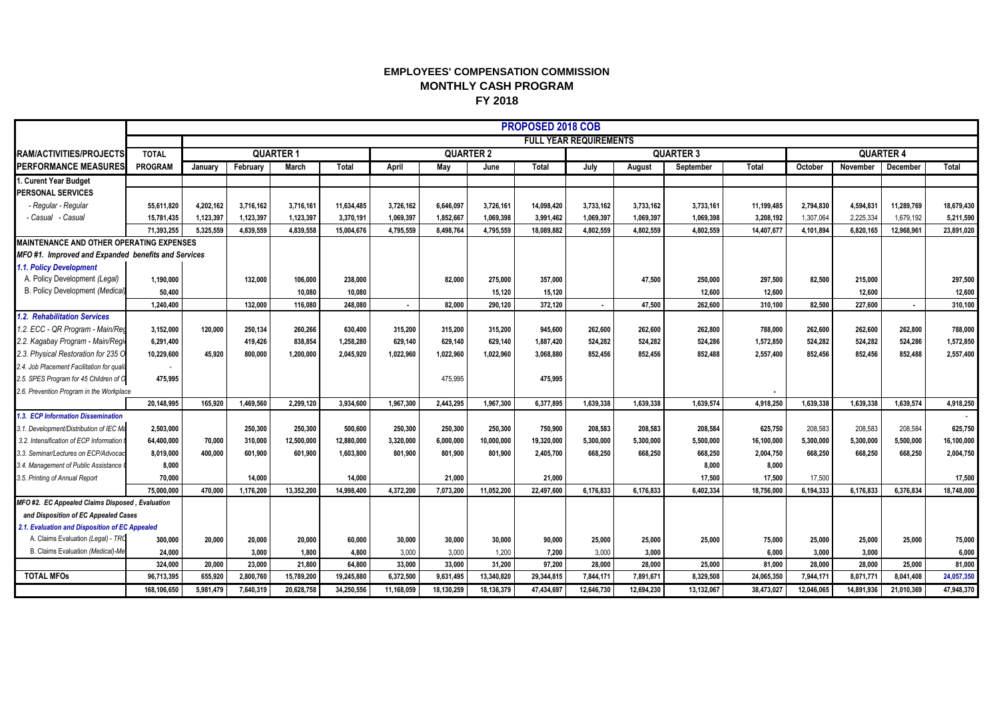## **EMPLOYEES' COMPENSATION COMMISSION MONTHLY CASH PROGRAM FY 2018**

|                                                    |                               | PROPOSED 2018 COB |           |              |            |                  |            |            |            |                  |            |            |            |                  |            |            |            |
|----------------------------------------------------|-------------------------------|-------------------|-----------|--------------|------------|------------------|------------|------------|------------|------------------|------------|------------|------------|------------------|------------|------------|------------|
|                                                    | <b>FULL YEAR REQUIREMENTS</b> |                   |           |              |            |                  |            |            |            |                  |            |            |            |                  |            |            |            |
| RAM/ACTIVITIES/PROJECTS                            | <b>TOTAL</b>                  | <b>QUARTER 1</b>  |           |              |            | <b>QUARTER 2</b> |            |            |            | <b>QUARTER 3</b> |            |            |            | <b>QUARTER 4</b> |            |            |            |
| <b>PERFORMANCE MEASURES</b>                        | PROGRAM                       | January           | February  | <b>March</b> | Total      | April            | May        | June       | Total      | July             | August     | September  | Total      | October          | November   | December   | Total      |
| I. Curent Year Budget                              |                               |                   |           |              |            |                  |            |            |            |                  |            |            |            |                  |            |            |            |
| <b>PERSONAL SERVICES</b>                           |                               |                   |           |              |            |                  |            |            |            |                  |            |            |            |                  |            |            |            |
| - Regular - Regular                                | 55,611,820                    | 4,202,162         | 3.716.162 | 3,716,161    | 11.634.485 | 3,726,162        | 6,646,097  | 3,726,161  | 14,098,420 | 3,733,162        | 3,733,162  | 3,733,161  | 11,199,485 | 2.794.830        | 4,594,831  | 11,289,769 | 18,679,430 |
| - Casual   - Casual                                | 15,781,435                    | 1,123,397         | 1,123,397 | 1,123,397    | 3,370,191  | 1.069.397        | 1,852,667  | 1,069,398  | 3,991,462  | 1,069,397        | 1,069,397  | 1,069,398  | 3,208,192  | 1,307,064        | 2,225,334  | 1,679,192  | 5,211,590  |
|                                                    | 71.393.255                    | 5.325.559         | 4.839.559 | 4,839,558    | 15,004,676 | 4.795.559        | 8.498.764  | 4,795,559  | 18,089,882 | 4,802,559        | 4,802,559  | 4.802.559  | 14,407,677 | 4,101,894        | 6,820,165  | 12,968,961 | 23,891,020 |
| <b>MAINTENANCE AND OTHER OPERATING EXPENSES</b>    |                               |                   |           |              |            |                  |            |            |            |                  |            |            |            |                  |            |            |            |
| MFO#1. Improved and Expanded benefits and Services |                               |                   |           |              |            |                  |            |            |            |                  |            |            |            |                  |            |            |            |
| 1.1. Policy Development                            |                               |                   |           |              |            |                  |            |            |            |                  |            |            |            |                  |            |            |            |
| A. Policy Development (Legal)                      | 1,190,000                     |                   | 132.000   | 106,000      | 238,000    |                  | 82.000     | 275,000    | 357,000    |                  | 47,500     | 250,000    | 297.500    | 82.500           | 215,000    |            | 297,500    |
| B. Policy Development (Medical)                    | 50,400                        |                   |           | 10.080       | 10.080     |                  |            | 15.120     | 15,120     |                  |            | 12,600     | 12,600     |                  | 12.600     |            | 12,600     |
|                                                    | 1,240,400                     |                   | 132.000   | 116.080      | 248.080    | $\sim$           | 82.000     | 290.120    | 372,120    | $\sim$           | 47.500     | 262.600    | 310.100    | 82.500           | 227.600    | $\sim$     | 310,100    |
| 1.2. Rehabilitation Services                       |                               |                   |           |              |            |                  |            |            |            |                  |            |            |            |                  |            |            |            |
| .2. ECC - QR Program - Main/Red                    | 3,152,000                     | 120.000           | 250,134   | 260,266      | 630,400    | 315,200          | 315,200    | 315,200    | 945,600    | 262,600          | 262,600    | 262,800    | 788,000    | 262,600          | 262,600    | 262,800    | 788,000    |
| 2.2. Kagabay Program - Main/Regio                  | 6,291,400                     |                   | 419.426   | 838,854      | 1,258,280  | 629,140          | 629.140    | 629,140    | 1,887,420  | 524,282          | 524.282    | 524,286    | 1,572,850  | 524,282          | 524,282    | 524,286    | 1,572,850  |
| 2.3. Physical Restoration for 235 O                | 10,229,600                    | 45.920            | 800.000   | 1,200,000    | 2,045,920  | 1,022,960        | 1,022,960  | 1,022,960  | 3,068,880  | 852,456          | 852.456    | 852,488    | 2.557.400  | 852.456          | 852,456    | 852,488    | 2,557,400  |
| 2.4. Job Placement Facilitation for qualit         |                               |                   |           |              |            |                  |            |            |            |                  |            |            |            |                  |            |            |            |
| 2.5. SPES Program for 45 Children of O             | 475,995                       |                   |           |              |            |                  | 475,995    |            | 475,995    |                  |            |            |            |                  |            |            |            |
| 2.6. Prevention Program in the Workplace           |                               |                   |           |              |            |                  |            |            |            |                  |            |            |            |                  |            |            |            |
|                                                    | 20.148.995                    | 165.920           | 1.469.560 | 2.299.120    | 3.934.600  | 1.967.300        | 2.443.295  | 1.967.300  | 6.377.895  | 1.639.338        | 1.639.338  | 1.639.574  | 4.918.250  | 1.639.338        | 1.639.338  | 1.639.574  | 4,918,250  |
| 3. ECP Information Dissemination                   |                               |                   |           |              |            |                  |            |            |            |                  |            |            |            |                  |            |            |            |
| 1.1. Development/Distribution of IEC Ma            | 2,503,000                     |                   | 250,300   | 250,300      | 500,600    | 250,300          | 250,300    | 250,300    | 750,900    | 208,583          | 208,583    | 208,584    | 625,750    | 208.583          | 208,583    | 208,584    | 625,750    |
| 3.2. Intensification of ECP Information            | 64,400,000                    | 70.000            | 310.000   | 12,500,000   | 12,880,000 | 3,320,000        | 6,000,000  | 10,000,000 | 19,320,000 | 5,300,000        | 5,300,000  | 5,500,000  | 16,100,000 | 5.300.000        | 5,300,000  | 5,500,000  | 16,100,000 |
| .3. Seminar/Lectures on ECP/Advocac                | 8,019,000                     | 400.000           | 601.900   | 601,900      | 1,603,800  | 801.900          | 801.900    | 801,900    | 2,405,700  | 668,250          | 668,250    | 668,250    | 2,004,750  | 668.250          | 668,250    | 668,250    | 2,004,750  |
| 3.4. Management of Public Assistance               | 8,000                         |                   |           |              |            |                  |            |            |            |                  |            | 8,000      | 8,000      |                  |            |            |            |
| 1.5. Printing of Annual Report                     | 70,000                        |                   | 14.000    |              | 14.000     |                  | 21.000     |            | 21,000     |                  |            | 17,500     | 17.500     | 17,500           |            |            | 17,500     |
| MFO #2. EC Appealed Claims Disposed, Evaluation    | 75,000,000                    | 470.000           | 1,176,200 | 13,352,200   | 14,998,400 | 4.372.200        | 7,073,200  | 11.052.200 | 22,497,600 | 6,176,833        | 6,176,833  | 6,402,334  | 18,756,000 | 6,194,333        | 6,176,833  | 6,376,834  | 18,748,000 |
| and Disposition of EC Appealed Cases               |                               |                   |           |              |            |                  |            |            |            |                  |            |            |            |                  |            |            |            |
| 2.1. Evaluation and Disposition of EC Appealed     |                               |                   |           |              |            |                  |            |            |            |                  |            |            |            |                  |            |            |            |
| A. Claims Evaluation (Legal) - TRC                 | 300,000                       | 20,000            | 20,000    | 20,000       | 60.000     | 30,000           | 30,000     | 30,000     | 90,000     | 25,000           | 25,000     | 25,000     | 75,000     | 25,000           | 25,000     | 25,000     | 75,000     |
| B. Claims Evaluation (Medical)-Me                  | 24,000                        |                   | 3.000     | 1,800        | 4,800      | 3,000            | 3.000      | 1,200      | 7,200      | 3,000            | 3,000      |            | 6.000      | 3,000            | 3,000      |            | 6,000      |
|                                                    | 324.000                       | 20,000            | 23,000    | 21,800       | 64,800     | 33.000           | 33,000     | 31,200     | 97,200     | 28.000           | 28,000     | 25,000     | 81.000     | 28,000           | 28.000     | 25,000     | 81,000     |
| <b>TOTAL MFOs</b>                                  | 96,713,395                    | 655,920           | 2,800,760 | 15,789,200   | 19,245,880 | 6.372.500        | 9,631,495  | 13,340,820 | 29,344,815 | 7,844,171        | 7,891,671  | 8,329,508  | 24,065,350 | 7,944,171        | 8,071,771  | 8,041,408  | 24,057,350 |
|                                                    | 168,106,650                   | 5,981,479         | 7,640,319 | 20,628,758   | 34,250,556 | 11,168,059       | 18,130,259 | 18,136,379 | 47,434,697 | 12,646,730       | 12.694.230 | 13,132,067 | 38,473,027 | 12,046,065       | 14,891,936 | 21,010,369 | 47,948,370 |
|                                                    |                               |                   |           |              |            |                  |            |            |            |                  |            |            |            |                  |            |            |            |